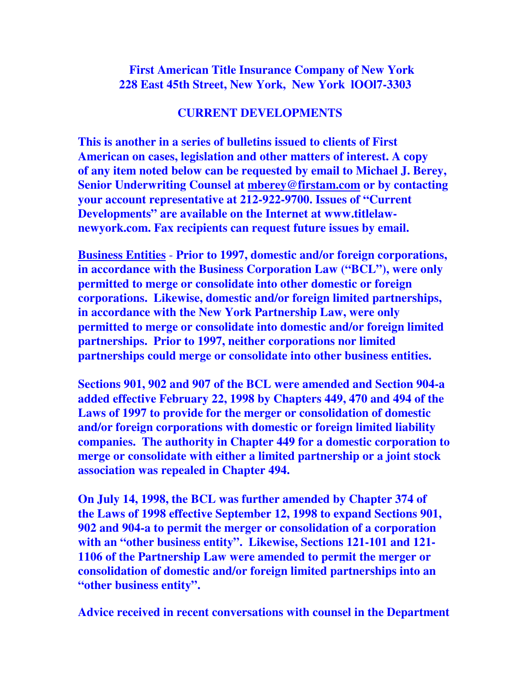**First American Title Insurance Company of New York 228 East 45th Street, New York, New York lOOl7-3303** 

## **CURRENT DEVELOPMENTS**

**This is another in a series of bulletins issued to clients of First American on cases, legislation and other matters of interest. A copy of any item noted below can be requested by email to Michael J. Berey, Senior Underwriting Counsel at mberey@firstam.com or by contacting your account representative at 212-922-9700. Issues of "Current Developments" are available on the Internet at www.titlelawnewyork.com. Fax recipients can request future issues by email.** 

**Business Entities** - **Prior to 1997, domestic and/or foreign corporations, in accordance with the Business Corporation Law ("BCL"), were only permitted to merge or consolidate into other domestic or foreign corporations. Likewise, domestic and/or foreign limited partnerships, in accordance with the New York Partnership Law, were only permitted to merge or consolidate into domestic and/or foreign limited partnerships. Prior to 1997, neither corporations nor limited partnerships could merge or consolidate into other business entities.** 

**Sections 901, 902 and 907 of the BCL were amended and Section 904-a added effective February 22, 1998 by Chapters 449, 470 and 494 of the Laws of 1997 to provide for the merger or consolidation of domestic and/or foreign corporations with domestic or foreign limited liability companies. The authority in Chapter 449 for a domestic corporation to merge or consolidate with either a limited partnership or a joint stock association was repealed in Chapter 494.** 

**On July 14, 1998, the BCL was further amended by Chapter 374 of the Laws of 1998 effective September 12, 1998 to expand Sections 901, 902 and 904-a to permit the merger or consolidation of a corporation with an "other business entity". Likewise, Sections 121-101 and 121- 1106 of the Partnership Law were amended to permit the merger or consolidation of domestic and/or foreign limited partnerships into an "other business entity".**

**Advice received in recent conversations with counsel in the Department**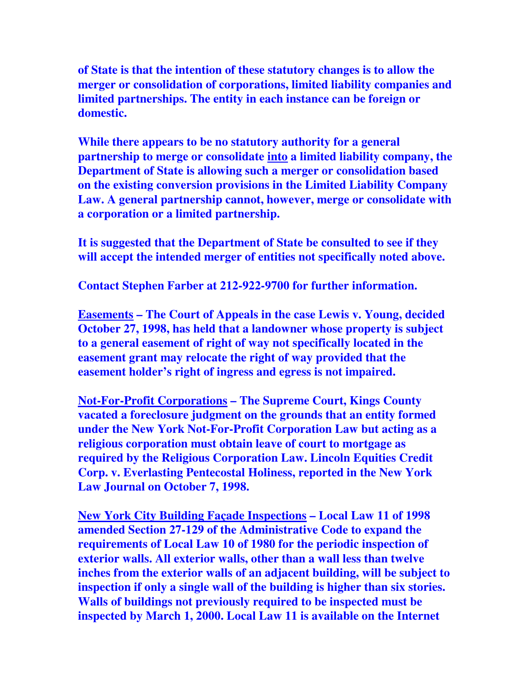**of State is that the intention of these statutory changes is to allow the merger or consolidation of corporations, limited liability companies and limited partnerships. The entity in each instance can be foreign or domestic.** 

**While there appears to be no statutory authority for a general partnership to merge or consolidate into a limited liability company, the Department of State is allowing such a merger or consolidation based on the existing conversion provisions in the Limited Liability Company Law. A general partnership cannot, however, merge or consolidate with a corporation or a limited partnership.** 

**It is suggested that the Department of State be consulted to see if they will accept the intended merger of entities not specifically noted above.** 

**Contact Stephen Farber at 212-922-9700 for further information.** 

**Easements – The Court of Appeals in the case Lewis v. Young, decided October 27, 1998, has held that a landowner whose property is subject to a general easement of right of way not specifically located in the easement grant may relocate the right of way provided that the easement holder's right of ingress and egress is not impaired.** 

**Not-For-Profit Corporations – The Supreme Court, Kings County vacated a foreclosure judgment on the grounds that an entity formed under the New York Not-For-Profit Corporation Law but acting as a religious corporation must obtain leave of court to mortgage as required by the Religious Corporation Law. Lincoln Equities Credit Corp. v. Everlasting Pentecostal Holiness, reported in the New York Law Journal on October 7, 1998.** 

**New York City Building Façade Inspections – Local Law 11 of 1998 amended Section 27-129 of the Administrative Code to expand the requirements of Local Law 10 of 1980 for the periodic inspection of exterior walls. All exterior walls, other than a wall less than twelve inches from the exterior walls of an adjacent building, will be subject to inspection if only a single wall of the building is higher than six stories. Walls of buildings not previously required to be inspected must be inspected by March 1, 2000. Local Law 11 is available on the Internet**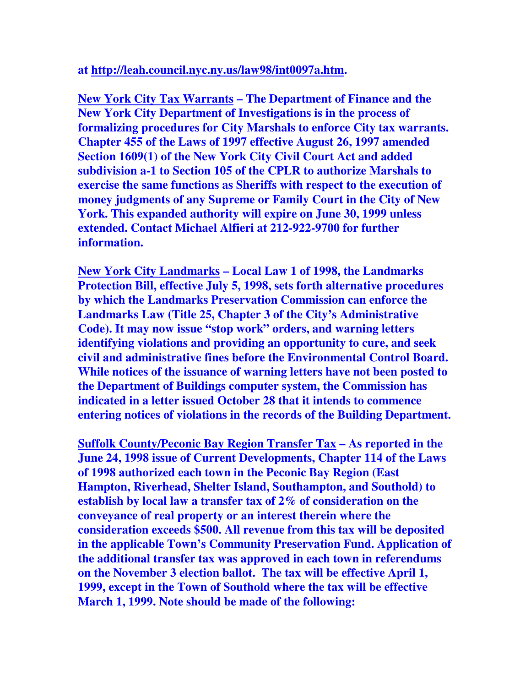## **at http://leah.council.nyc.ny.us/law98/int0097a.htm.**

**New York City Tax Warrants – The Department of Finance and the New York City Department of Investigations is in the process of formalizing procedures for City Marshals to enforce City tax warrants. Chapter 455 of the Laws of 1997 effective August 26, 1997 amended Section 1609(1) of the New York City Civil Court Act and added subdivision a-1 to Section 105 of the CPLR to authorize Marshals to exercise the same functions as Sheriffs with respect to the execution of money judgments of any Supreme or Family Court in the City of New York. This expanded authority will expire on June 30, 1999 unless extended. Contact Michael Alfieri at 212-922-9700 for further information.** 

**New York City Landmarks – Local Law 1 of 1998, the Landmarks Protection Bill, effective July 5, 1998, sets forth alternative procedures by which the Landmarks Preservation Commission can enforce the Landmarks Law (Title 25, Chapter 3 of the City's Administrative Code). It may now issue "stop work" orders, and warning letters identifying violations and providing an opportunity to cure, and seek civil and administrative fines before the Environmental Control Board. While notices of the issuance of warning letters have not been posted to the Department of Buildings computer system, the Commission has indicated in a letter issued October 28 that it intends to commence entering notices of violations in the records of the Building Department.** 

**Suffolk County/Peconic Bay Region Transfer Tax – As reported in the June 24, 1998 issue of Current Developments, Chapter 114 of the Laws of 1998 authorized each town in the Peconic Bay Region (East Hampton, Riverhead, Shelter Island, Southampton, and Southold) to establish by local law a transfer tax of 2% of consideration on the conveyance of real property or an interest therein where the consideration exceeds \$500. All revenue from this tax will be deposited in the applicable Town's Community Preservation Fund. Application of the additional transfer tax was approved in each town in referendums on the November 3 election ballot. The tax will be effective April 1, 1999, except in the Town of Southold where the tax will be effective March 1, 1999. Note should be made of the following:**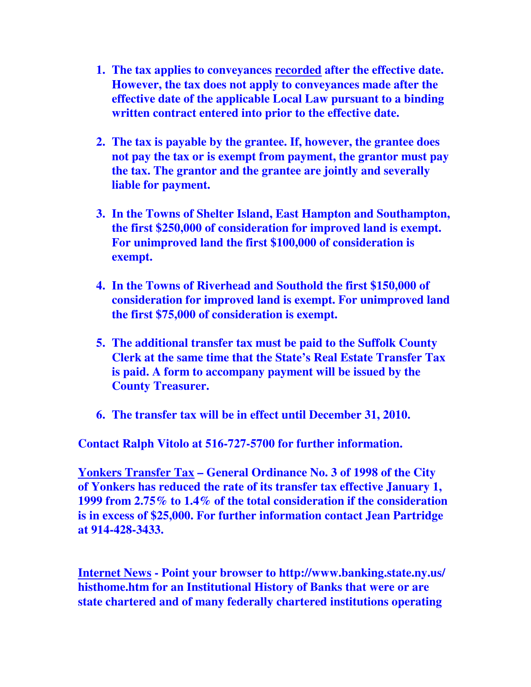- **1. The tax applies to conveyances recorded after the effective date. However, the tax does not apply to conveyances made after the effective date of the applicable Local Law pursuant to a binding written contract entered into prior to the effective date.**
- **2. The tax is payable by the grantee. If, however, the grantee does not pay the tax or is exempt from payment, the grantor must pay the tax. The grantor and the grantee are jointly and severally liable for payment.**
- **3. In the Towns of Shelter Island, East Hampton and Southampton, the first \$250,000 of consideration for improved land is exempt. For unimproved land the first \$100,000 of consideration is exempt.**
- **4. In the Towns of Riverhead and Southold the first \$150,000 of consideration for improved land is exempt. For unimproved land the first \$75,000 of consideration is exempt.**
- **5. The additional transfer tax must be paid to the Suffolk County Clerk at the same time that the State's Real Estate Transfer Tax is paid. A form to accompany payment will be issued by the County Treasurer.**
- **6. The transfer tax will be in effect until December 31, 2010.**

**Contact Ralph Vitolo at 516-727-5700 for further information.** 

**Yonkers Transfer Tax – General Ordinance No. 3 of 1998 of the City of Yonkers has reduced the rate of its transfer tax effective January 1, 1999 from 2.75% to 1.4% of the total consideration if the consideration is in excess of \$25,000. For further information contact Jean Partridge at 914-428-3433.** 

**Internet News - Point your browser to http://www.banking.state.ny.us/ histhome.htm for an Institutional History of Banks that were or are state chartered and of many federally chartered institutions operating**